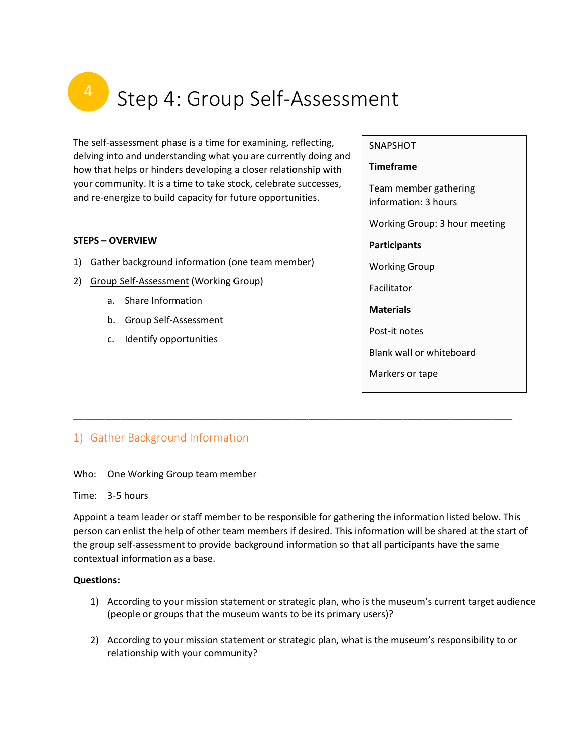# Step 4: Group Self-Assessment

The self-assessment phase is a time for examining, reflecting, delving into and understanding what you are currently doing and how that helps or hinders developing a closer relationship with your community. It is a time to take stock, celebrate successes, and re-energize to build capacity for future opportunities.

## **STEPS – OVERVIEW**

- 1) Gather background information (one team member)
- 2) [Group Self-Assessment](https://members.museumsontario.ca/sites/default/files/members/members/museumSUCCESSion/Resources/Group%20Self_Assessment.pdf) (Working Group)
	- a. Share Information
	- b. Group Self-Assessment
	- c. Identify opportunities

## SNAPSHOT

#### **Timeframe**

Team member gathering information: 3 hours

Working Group: 3 hour meeting

## **Participants**

Working Group

Facilitator

**Materials**

Post-it notes

Blank wall or whiteboard

Markers or tape

## 1) Gather Background Information

Who: One Working Group team member

## Time: 3-5 hours

Appoint a team leader or staff member to be responsible for gathering the information listed below. This person can enlist the help of other team members if desired. This information will be shared at the start of the group self-assessment to provide background information so that all participants have the same contextual information as a base.

\_\_\_\_\_\_\_\_\_\_\_\_\_\_\_\_\_\_\_\_\_\_\_\_\_\_\_\_\_\_\_\_\_\_\_\_\_\_\_\_\_\_\_\_\_\_\_\_\_\_\_\_\_\_\_\_\_\_\_\_\_\_\_\_\_\_\_\_\_\_\_\_\_\_\_\_\_\_\_\_\_\_\_\_

## **Questions:**

- 1) According to your mission statement or strategic plan, who is the museum's current target audience (people or groups that the museum wants to be its primary users)?
- 2) According to your mission statement or strategic plan, what is the museum's responsibility to or relationship with your community?

4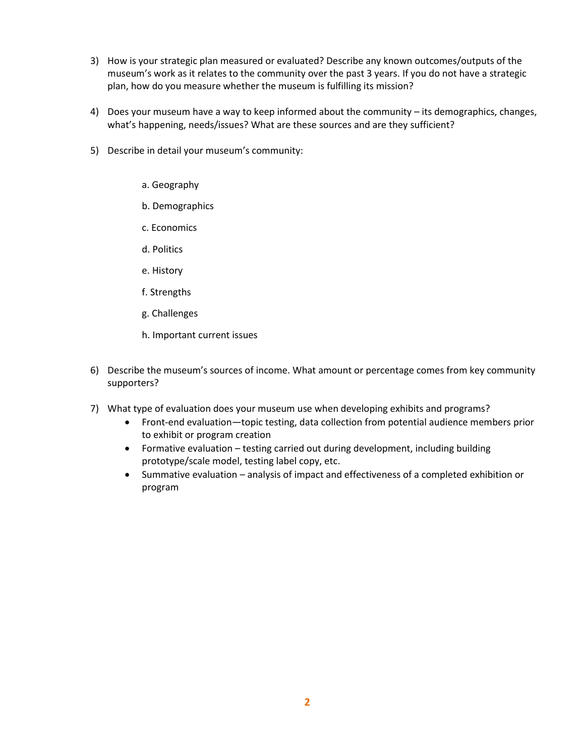- 3) How is your strategic plan measured or evaluated? Describe any known outcomes/outputs of the museum's work as it relates to the community over the past 3 years. If you do not have a strategic plan, how do you measure whether the museum is fulfilling its mission?
- 4) Does your museum have a way to keep informed about the community its demographics, changes, what's happening, needs/issues? What are these sources and are they sufficient?
- 5) Describe in detail your museum's community:
	- a. Geography
	- b. Demographics
	- c. Economics
	- d. Politics
	- e. History
	- f. Strengths
	- g. Challenges
	- h. Important current issues
- 6) Describe the museum's sources of income. What amount or percentage comes from key community supporters?
- 7) What type of evaluation does your museum use when developing exhibits and programs?
	- Front-end evaluation—topic testing, data collection from potential audience members prior to exhibit or program creation
	- Formative evaluation testing carried out during development, including building prototype/scale model, testing label copy, etc.
	- Summative evaluation analysis of impact and effectiveness of a completed exhibition or program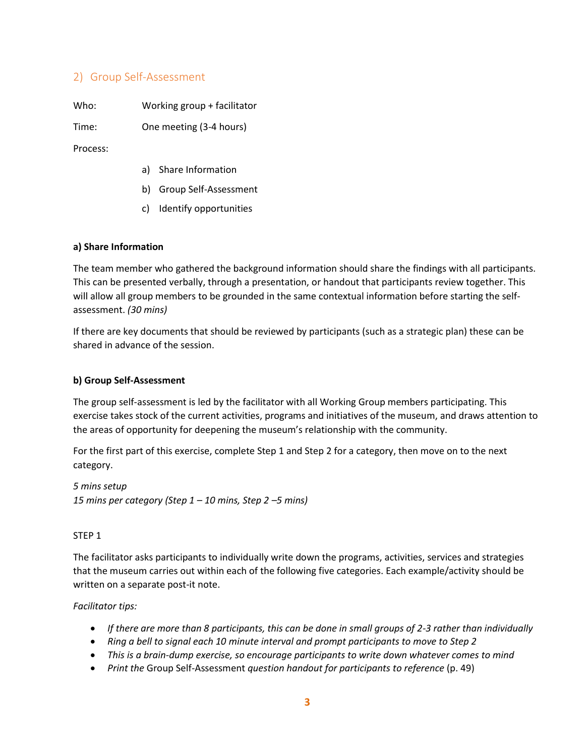## 2) Group Self-Assessment

Who: Working group + facilitator

Time: One meeting (3-4 hours)

Process:

- a) Share Information
- b) Group Self-Assessment
- c) Identify opportunities

## **a) Share Information**

The team member who gathered the background information should share the findings with all participants. This can be presented verbally, through a presentation, or handout that participants review together. This will allow all group members to be grounded in the same contextual information before starting the selfassessment. *(30 mins)*

If there are key documents that should be reviewed by participants (such as a strategic plan) these can be shared in advance of the session.

## **b) Group Self-Assessment**

The group self-assessment is led by the facilitator with all Working Group members participating. This exercise takes stock of the current activities, programs and initiatives of the museum, and draws attention to the areas of opportunity for deepening the museum's relationship with the community.

For the first part of this exercise, complete Step 1 and Step 2 for a category, then move on to the next category.

*5 mins setup 15 mins per category (Step 1 – 10 mins, Step 2 –5 mins)*

## STEP 1

The facilitator asks participants to individually write down the programs, activities, services and strategies that the museum carries out within each of the following five categories. Each example/activity should be written on a separate post-it note.

*Facilitator tips:*

- *If there are more than 8 participants, this can be done in small groups of 2-3 rather than individually*
- *Ring a bell to signal each 10 minute interval and prompt participants to move to Step 2*
- *This is a brain-dump exercise, so encourage participants to write down whatever comes to mind*
- *Print the* Group Self-Assessment *question handout for participants to reference* (p. 49)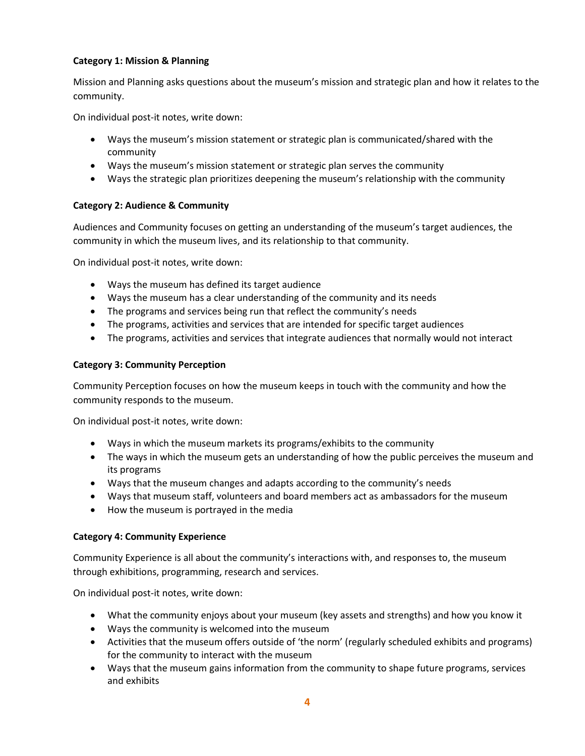## **Category 1: Mission & Planning**

Mission and Planning asks questions about the museum's mission and strategic plan and how it relates to the community.

On individual post-it notes, write down:

- Ways the museum's mission statement or strategic plan is communicated/shared with the community
- Ways the museum's mission statement or strategic plan serves the community
- Ways the strategic plan prioritizes deepening the museum's relationship with the community

## **Category 2: Audience & Community**

Audiences and Community focuses on getting an understanding of the museum's target audiences, the community in which the museum lives, and its relationship to that community.

On individual post-it notes, write down:

- Ways the museum has defined its target audience
- Ways the museum has a clear understanding of the community and its needs
- The programs and services being run that reflect the community's needs
- The programs, activities and services that are intended for specific target audiences
- The programs, activities and services that integrate audiences that normally would not interact

## **Category 3: Community Perception**

Community Perception focuses on how the museum keeps in touch with the community and how the community responds to the museum.

On individual post-it notes, write down:

- Ways in which the museum markets its programs/exhibits to the community
- The ways in which the museum gets an understanding of how the public perceives the museum and its programs
- Ways that the museum changes and adapts according to the community's needs
- Ways that museum staff, volunteers and board members act as ambassadors for the museum
- How the museum is portrayed in the media

## **Category 4: Community Experience**

Community Experience is all about the community's interactions with, and responses to, the museum through exhibitions, programming, research and services.

On individual post-it notes, write down:

- What the community enjoys about your museum (key assets and strengths) and how you know it
- Ways the community is welcomed into the museum
- Activities that the museum offers outside of 'the norm' (regularly scheduled exhibits and programs) for the community to interact with the museum
- Ways that the museum gains information from the community to shape future programs, services and exhibits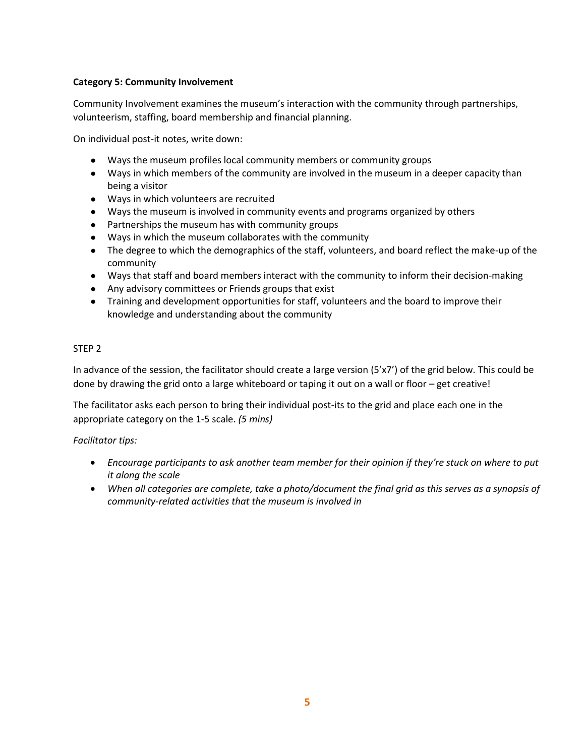## **Category 5: Community Involvement**

Community Involvement examines the museum's interaction with the community through partnerships, volunteerism, staffing, board membership and financial planning.

On individual post-it notes, write down:

- Ways the museum profiles local community members or community groups
- Ways in which members of the community are involved in the museum in a deeper capacity than being a visitor
- Ways in which volunteers are recruited
- Ways the museum is involved in community events and programs organized by others
- Partnerships the museum has with community groups
- Ways in which the museum collaborates with the community
- The degree to which the demographics of the staff, volunteers, and board reflect the make-up of the community
- Ways that staff and board members interact with the community to inform their decision-making
- Any advisory committees or Friends groups that exist
- Training and development opportunities for staff, volunteers and the board to improve their knowledge and understanding about the community

## STEP 2

In advance of the session, the facilitator should create a large version (5'x7') of the grid below. This could be done by drawing the grid onto a large whiteboard or taping it out on a wall or floor – get creative!

The facilitator asks each person to bring their individual post-its to the grid and place each one in the appropriate category on the 1-5 scale. *(5 mins)*

*Facilitator tips:*

- *Encourage participants to ask another team member for their opinion if they're stuck on where to put it along the scale*
- *When all categories are complete, take a photo/document the final grid as this serves as a synopsis of community-related activities that the museum is involved in*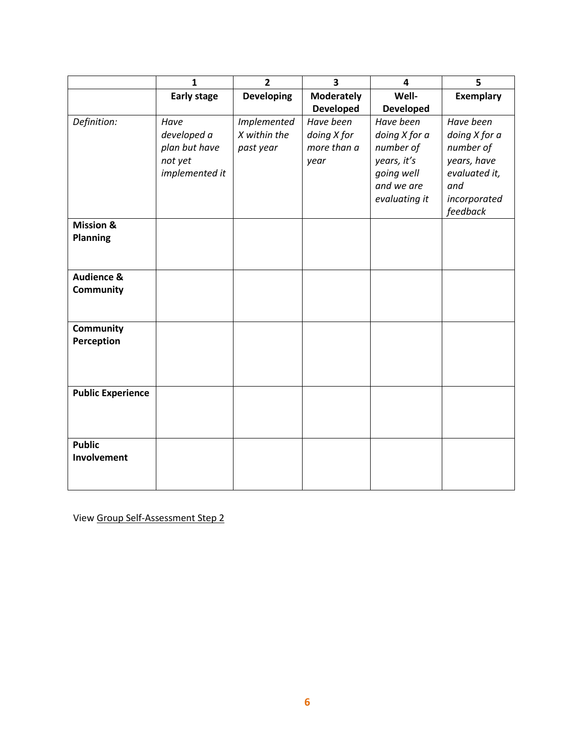|                          | $\mathbf{1}$       | $\overline{2}$     | $\overline{\mathbf{3}}$ | 4                | 5                |
|--------------------------|--------------------|--------------------|-------------------------|------------------|------------------|
|                          | <b>Early stage</b> | <b>Developing</b>  | <b>Moderately</b>       | Well-            | <b>Exemplary</b> |
|                          |                    |                    | <b>Developed</b>        | <b>Developed</b> |                  |
| Definition:              | Have               | <b>Implemented</b> | Have been               | Have been        | Have been        |
|                          | developed a        | X within the       | doing X for             | doing X for a    | doing X for a    |
|                          | plan but have      | past year          | more than a             | number of        | number of        |
|                          | not yet            |                    | year                    | years, it's      | years, have      |
|                          | implemented it     |                    |                         | going well       | evaluated it,    |
|                          |                    |                    |                         | and we are       | and              |
|                          |                    |                    |                         | evaluating it    | incorporated     |
|                          |                    |                    |                         |                  | feedback         |
| <b>Mission &amp;</b>     |                    |                    |                         |                  |                  |
| <b>Planning</b>          |                    |                    |                         |                  |                  |
|                          |                    |                    |                         |                  |                  |
|                          |                    |                    |                         |                  |                  |
| <b>Audience &amp;</b>    |                    |                    |                         |                  |                  |
| Community                |                    |                    |                         |                  |                  |
|                          |                    |                    |                         |                  |                  |
|                          |                    |                    |                         |                  |                  |
| Community                |                    |                    |                         |                  |                  |
| Perception               |                    |                    |                         |                  |                  |
|                          |                    |                    |                         |                  |                  |
|                          |                    |                    |                         |                  |                  |
|                          |                    |                    |                         |                  |                  |
| <b>Public Experience</b> |                    |                    |                         |                  |                  |
|                          |                    |                    |                         |                  |                  |
|                          |                    |                    |                         |                  |                  |
| <b>Public</b>            |                    |                    |                         |                  |                  |
| Involvement              |                    |                    |                         |                  |                  |
|                          |                    |                    |                         |                  |                  |
|                          |                    |                    |                         |                  |                  |

View [Group Self-Assessment Step 2](https://members.museumsontario.ca/sites/default/files/members/members/museumSUCCESSion/Resources/Group%20Self_Assessment.pdf)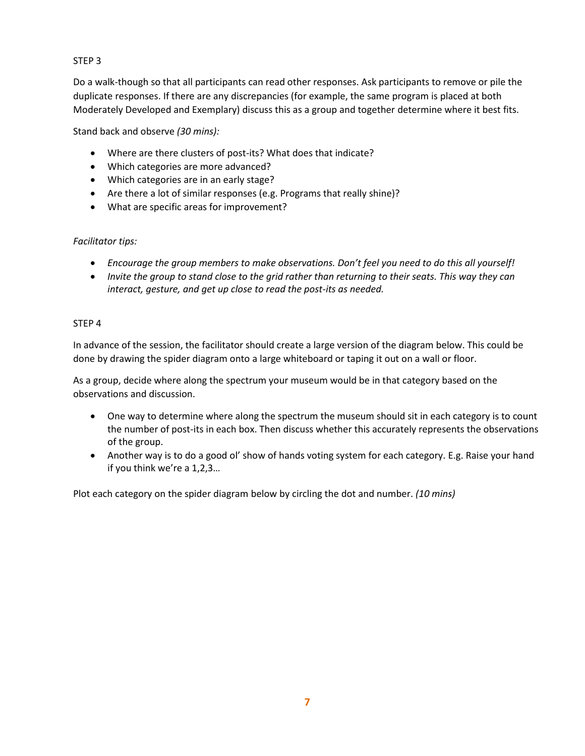## STEP 3

Do a walk-though so that all participants can read other responses. Ask participants to remove or pile the duplicate responses. If there are any discrepancies (for example, the same program is placed at both Moderately Developed and Exemplary) discuss this as a group and together determine where it best fits.

Stand back and observe *(30 mins):*

- Where are there clusters of post-its? What does that indicate?
- Which categories are more advanced?
- Which categories are in an early stage?
- Are there a lot of similar responses (e.g. Programs that really shine)?
- What are specific areas for improvement?

## *Facilitator tips:*

- *Encourage the group members to make observations. Don't feel you need to do this all yourself!*
- *Invite the group to stand close to the grid rather than returning to their seats. This way they can interact, gesture, and get up close to read the post-its as needed.*

## STEP 4

In advance of the session, the facilitator should create a large version of the diagram below. This could be done by drawing the spider diagram onto a large whiteboard or taping it out on a wall or floor.

As a group, decide where along the spectrum your museum would be in that category based on the observations and discussion.

- One way to determine where along the spectrum the museum should sit in each category is to count the number of post-its in each box. Then discuss whether this accurately represents the observations of the group.
- Another way is to do a good ol' show of hands voting system for each category. E.g. Raise your hand if you think we're a 1,2,3…

Plot each category on the spider diagram below by circling the dot and number. *(10 mins)*